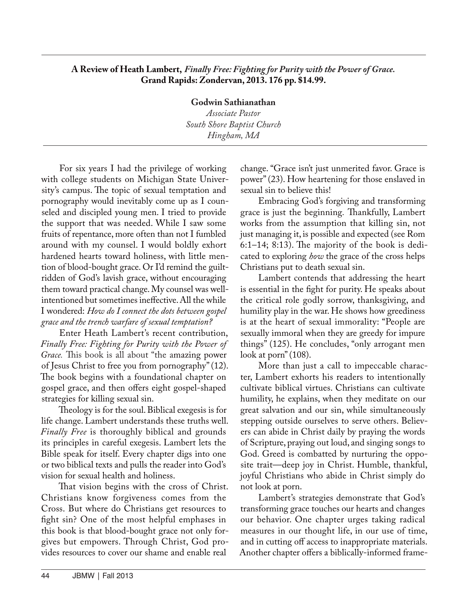## **A Review of Heath Lambert,** *Finally Free: Fighting for Purity with the Power of Grace.* **Grand Rapids: Zondervan, 2013. 176 pp. \$14.99.**

**Godwin Sathianathan** *Associate Pastor South Shore Baptist Church Hingham, MA*

For six years I had the privilege of working with college students on Michigan State University's campus. The topic of sexual temptation and pornography would inevitably come up as I counseled and discipled young men. I tried to provide the support that was needed. While I saw some fruits of repentance, more often than not I fumbled around with my counsel. I would boldly exhort hardened hearts toward holiness, with little mention of blood-bought grace. Or I'd remind the guiltridden of God's lavish grace, without encouraging them toward practical change. My counsel was wellintentioned but sometimes ineffective. All the while I wondered: *How do I connect the dots between gospel grace and the trench warfare of sexual temptation?*

Enter Heath Lambert's recent contribution, *Finally Free: Fighting for Purity with the Power of Grace.* This book is all about "the amazing power of Jesus Christ to free you from pornography" (12). The book begins with a foundational chapter on gospel grace, and then offers eight gospel-shaped strategies for killing sexual sin.

Theology is for the soul. Biblical exegesis is for life change. Lambert understands these truths well. *Finally Free* is thoroughly biblical and grounds its principles in careful exegesis. Lambert lets the Bible speak for itself. Every chapter digs into one or two biblical texts and pulls the reader into God's vision for sexual health and holiness.

That vision begins with the cross of Christ. Christians know forgiveness comes from the Cross. But where do Christians get resources to fight sin? One of the most helpful emphases in this book is that blood-bought grace not only forgives but empowers. Through Christ, God provides resources to cover our shame and enable real

change. "Grace isn't just unmerited favor. Grace is power" (23). How heartening for those enslaved in sexual sin to believe this!

Embracing God's forgiving and transforming grace is just the beginning*.* Thankfully, Lambert works from the assumption that killing sin, not just managing it, is possible and expected (see Rom 6:1–14; 8:13). The majority of the book is dedicated to exploring *how* the grace of the cross helps Christians put to death sexual sin.

Lambert contends that addressing the heart is essential in the fight for purity. He speaks about the critical role godly sorrow, thanksgiving, and humility play in the war. He shows how greediness is at the heart of sexual immorality: "People are sexually immoral when they are greedy for impure things" (125). He concludes, "only arrogant men look at porn" (108).

More than just a call to impeccable character, Lambert exhorts his readers to intentionally cultivate biblical virtues. Christians can cultivate humility, he explains, when they meditate on our great salvation and our sin, while simultaneously stepping outside ourselves to serve others. Believers can abide in Christ daily by praying the words of Scripture, praying out loud, and singing songs to God. Greed is combatted by nurturing the opposite trait—deep joy in Christ. Humble, thankful, joyful Christians who abide in Christ simply do not look at porn.

Lambert's strategies demonstrate that God's transforming grace touches our hearts and changes our behavior. One chapter urges taking radical measures in our thought life, in our use of time, and in cutting off access to inappropriate materials. Another chapter offers a biblically-informed frame